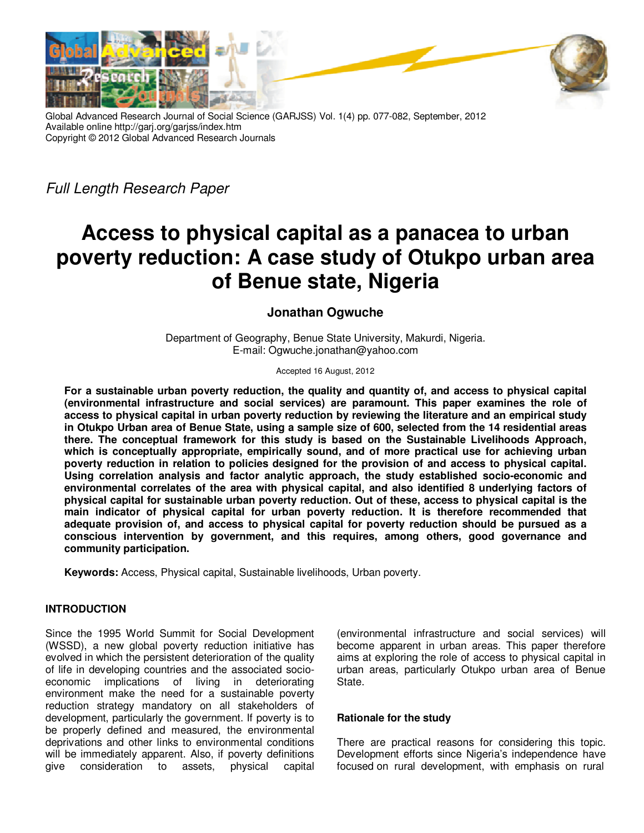

Global Advanced Research Journal of Social Science (GARJSS) Vol. 1(4) pp. 077-082, September, 2012 Available online http://garj.org/garjss/index.htm Copyright © 2012 Global Advanced Research Journals

*Full Length Research Paper* 

# **Access to physical capital as a panacea to urban poverty reduction: A case study of Otukpo urban area of Benue state, Nigeria**

# **Jonathan Ogwuche**

Department of Geography, Benue State University, Makurdi, Nigeria. E-mail: Ogwuche.jonathan@yahoo.com

Accepted 16 August, 2012

**For a sustainable urban poverty reduction, the quality and quantity of, and access to physical capital (environmental infrastructure and social services) are paramount. This paper examines the role of access to physical capital in urban poverty reduction by reviewing the literature and an empirical study in Otukpo Urban area of Benue State, using a sample size of 600, selected from the 14 residential areas there. The conceptual framework for this study is based on the Sustainable Livelihoods Approach, which is conceptually appropriate, empirically sound, and of more practical use for achieving urban poverty reduction in relation to policies designed for the provision of and access to physical capital. Using correlation analysis and factor analytic approach, the study established socio-economic and environmental correlates of the area with physical capital, and also identified 8 underlying factors of physical capital for sustainable urban poverty reduction. Out of these, access to physical capital is the main indicator of physical capital for urban poverty reduction. It is therefore recommended that adequate provision of, and access to physical capital for poverty reduction should be pursued as a conscious intervention by government, and this requires, among others, good governance and community participation.** 

**Keywords:** Access, Physical capital, Sustainable livelihoods, Urban poverty.

## **INTRODUCTION**

Since the 1995 World Summit for Social Development (WSSD), a new global poverty reduction initiative has evolved in which the persistent deterioration of the quality of life in developing countries and the associated socioeconomic implications of living in deteriorating environment make the need for a sustainable poverty reduction strategy mandatory on all stakeholders of development, particularly the government. If poverty is to be properly defined and measured, the environmental deprivations and other links to environmental conditions will be immediately apparent. Also, if poverty definitions give consideration to assets, physical capital

(environmental infrastructure and social services) will become apparent in urban areas. This paper therefore aims at exploring the role of access to physical capital in urban areas, particularly Otukpo urban area of Benue State.

## **Rationale for the study**

There are practical reasons for considering this topic. Development efforts since Nigeria's independence have focused on rural development, with emphasis on rural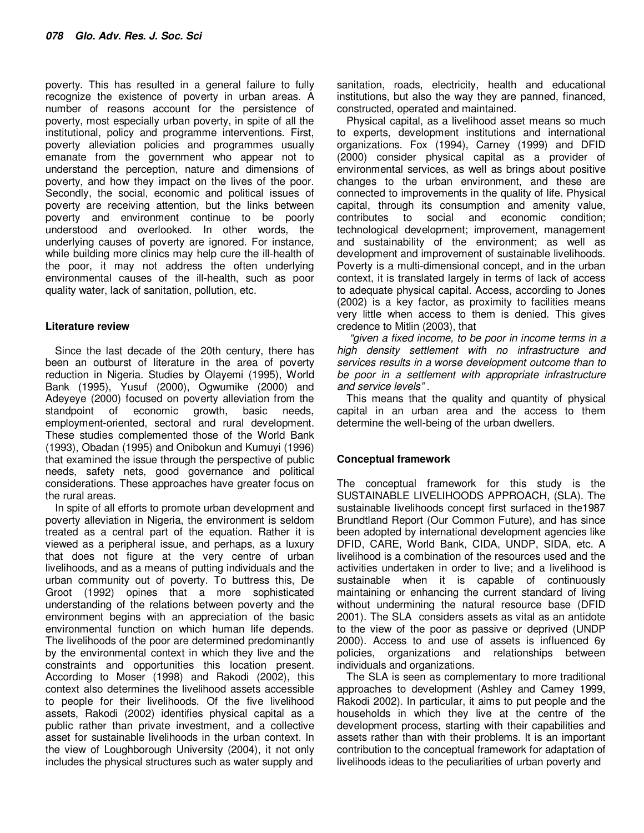poverty. This has resulted in a general failure to fully recognize the existence of poverty in urban areas. A number of reasons account for the persistence of poverty, most especially urban poverty, in spite of all the institutional, policy and programme interventions. First, poverty alleviation policies and programmes usually emanate from the government who appear not to understand the perception, nature and dimensions of poverty, and how they impact on the lives of the poor. Secondly, the social, economic and political issues of poverty are receiving attention, but the links between poverty and environment continue to be poorly understood and overlooked. In other words, the underlying causes of poverty are ignored. For instance, while building more clinics may help cure the ill-health of the poor, it may not address the often underlying environmental causes of the ill-health, such as poor quality water, lack of sanitation, pollution, etc.

#### **Literature review**

Since the last decade of the 20th century, there has been an outburst of literature in the area of poverty reduction in Nigeria. Studies by Olayemi (1995), World Bank (1995), Yusuf (2000), Ogwumike (2000) and Adeyeye (2000) focused on poverty alleviation from the standpoint of economic growth, basic needs, employment-oriented, sectoral and rural development. These studies complemented those of the World Bank (1993), Obadan (1995) and Onibokun and Kumuyi (1996) that examined the issue through the perspective of public needs, safety nets, good governance and political considerations. These approaches have greater focus on the rural areas.

In spite of all efforts to promote urban development and poverty alleviation in Nigeria, the environment is seldom treated as a central part of the equation. Rather it is viewed as a peripheral issue, and perhaps, as a luxury that does not figure at the very centre of urban livelihoods, and as a means of putting individuals and the urban community out of poverty. To buttress this, De Groot (1992) opines that a more sophisticated understanding of the relations between poverty and the environment begins with an appreciation of the basic environmental function on which human life depends. The livelihoods of the poor are determined predominantly by the environmental context in which they live and the constraints and opportunities this location present. According to Moser (1998) and Rakodi (2002), this context also determines the livelihood assets accessible to people for their livelihoods. Of the five livelihood assets, Rakodi (2002) identifies physical capital as a public rather than private investment, and a collective asset for sustainable livelihoods in the urban context. In the view of Loughborough University (2004), it not only includes the physical structures such as water supply and

sanitation, roads, electricity, health and educational institutions, but also the way they are panned, financed, constructed, operated and maintained.

Physical capital, as a livelihood asset means so much to experts, development institutions and international organizations. Fox (1994), Carney (1999) and DFID (2000) consider physical capital as a provider of environmental services, as well as brings about positive changes to the urban environment, and these are connected to improvements in the quality of life. Physical capital, through its consumption and amenity value, contributes to social and economic condition; technological development; improvement, management and sustainability of the environment; as well as development and improvement of sustainable livelihoods. Poverty is a multi-dimensional concept, and in the urban context, it is translated largely in terms of lack of access to adequate physical capital. Access, according to Jones (2002) is a key factor, as proximity to facilities means very little when access to them is denied. This gives credence to Mitlin (2003), that

*"given a fixed income, to be poor in income terms in a high density settlement with no infrastructure and services results in a worse development outcome than to be poor in a settlement with appropriate infrastructure and service levels" .* 

This means that the quality and quantity of physical capital in an urban area and the access to them determine the well-being of the urban dwellers.

#### **Conceptual framework**

The conceptual framework for this study is the SUSTAINABLE LIVELIHOODS APPROACH, (SLA). The sustainable livelihoods concept first surfaced in the1987 Brundtland Report (Our Common Future), and has since been adopted by international development agencies like DFID, CARE, World Bank, CIDA, UNDP, SIDA, etc. A livelihood is a combination of the resources used and the activities undertaken in order to live; and a livelihood is sustainable when it is capable of continuously maintaining or enhancing the current standard of living without undermining the natural resource base (DFID 2001). The SLA considers assets as vital as an antidote to the view of the poor as passive or deprived (UNDP 2000). Access to and use of assets is influenced 6y policies, organizations and relationships between individuals and organizations.

The SLA is seen as complementary to more traditional approaches to development (Ashley and Camey 1999, Rakodi 2002). In particular, it aims to put people and the households in which they live at the centre of the development process, starting with their capabilities and assets rather than with their problems. It is an important contribution to the conceptual framework for adaptation of livelihoods ideas to the peculiarities of urban poverty and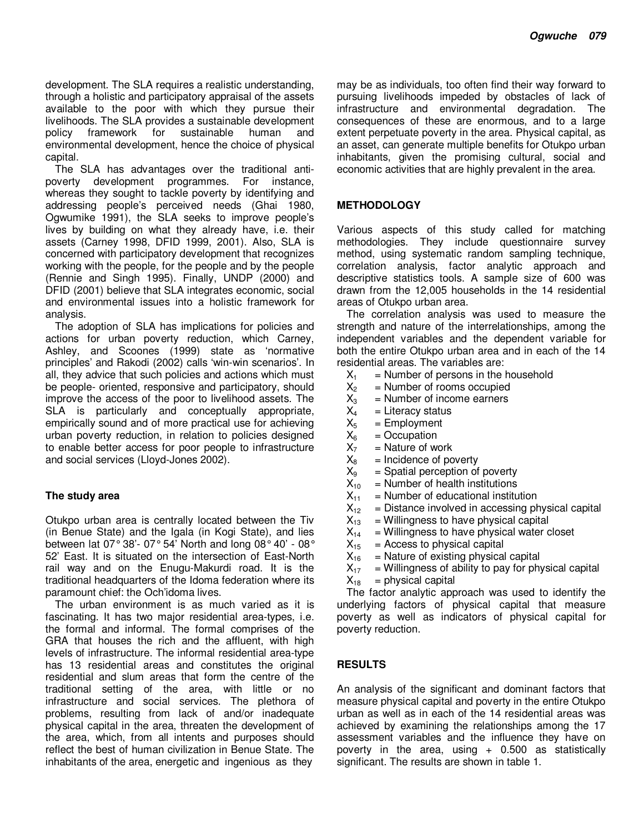development. The SLA requires a realistic understanding, through a holistic and participatory appraisal of the assets available to the poor with which they pursue their livelihoods. The SLA provides a sustainable development policy framework for sustainable human and environmental development, hence the choice of physical capital.

The SLA has advantages over the traditional antipoverty development programmes. For instance, whereas they sought to tackle poverty by identifying and addressing people's perceived needs (Ghai 1980, Ogwumike 1991), the SLA seeks to improve people's lives by building on what they already have, i.e. their assets (Carney 1998, DFID 1999, 2001). Also, SLA is concerned with participatory development that recognizes working with the people, for the people and by the people (Rennie and Singh 1995). Finally, UNDP (2000) and DFID (2001) believe that SLA integrates economic, social and environmental issues into a holistic framework for analysis.

The adoption of SLA has implications for policies and actions for urban poverty reduction, which Carney, Ashley, and Scoones (1999) state as 'normative principles' and Rakodi (2002) calls 'win-win scenarios'. In all, they advice that such policies and actions which must be people- oriented, responsive and participatory, should improve the access of the poor to livelihood assets. The SLA is particularly and conceptually appropriate, empirically sound and of more practical use for achieving urban poverty reduction, in relation to policies designed to enable better access for poor people to infrastructure and social services (Lloyd-Jones 2002).

#### **The study area**

Otukpo urban area is centrally located between the Tiv (in Benue State) and the Igala (in Kogi State), and lies between lat 07° 38'- 07° 54' North and long 08° 40' - 08° 52' East. It is situated on the intersection of East-North rail way and on the Enugu-Makurdi road. It is the traditional headquarters of the Idoma federation where its paramount chief: the Och'idoma lives.

The urban environment is as much varied as it is fascinating. It has two major residential area-types, i.e. the formal and informal. The formal comprises of the GRA that houses the rich and the affluent, with high levels of infrastructure. The informal residential area-type has 13 residential areas and constitutes the original residential and slum areas that form the centre of the traditional setting of the area, with little or no infrastructure and social services. The plethora of problems, resulting from lack of and/or inadequate physical capital in the area, threaten the development of the area, which, from all intents and purposes should reflect the best of human civilization in Benue State. The inhabitants of the area, energetic and ingenious as they

may be as individuals, too often find their way forward to pursuing livelihoods impeded by obstacles of lack of infrastructure and environmental degradation. The consequences of these are enormous, and to a large extent perpetuate poverty in the area. Physical capital, as an asset, can generate multiple benefits for Otukpo urban inhabitants, given the promising cultural, social and economic activities that are highly prevalent in the area.

#### **METHODOLOGY**

Various aspects of this study called for matching methodologies. They include questionnaire survey method, using systematic random sampling technique, correlation analysis, factor analytic approach and descriptive statistics tools. A sample size of 600 was drawn from the 12,005 households in the 14 residential areas of Otukpo urban area.

The correlation analysis was used to measure the strength and nature of the interrelationships, among the independent variables and the dependent variable for both the entire Otukpo urban area and in each of the 14 residential areas. The variables are:

- $X_1$  = Number of persons in the household<br> $X_2$  = Number of rooms occupied
- 
- $X_2$  = Number of rooms occupied<br> $X_3$  = Number of income earners  $X_3$  = Number of income earners<br> $X_4$  = Literacy status
- 
- $X_4$  = Literacy status<br> $X_5$  = Employment
- $X_5$  = Employment<br> $X_6$  = Occupation
- $X_6$  = Occupation<br> $X_7$  = Nature of w
- $X_7$  = Nature of work<br> $X_8$  = Incidence of po
- $X_8$  = Incidence of poverty<br> $X_9$  = Spatial perception of
- $X_9$  = Spatial perception of poverty<br> $X_{10}$  = Number of health institutions  $=$  Number of health institutions
- 
- $X_{11}$  = Number of educational institution<br> $X_{12}$  = Distance involved in accessing ph  $X_{12}$  = Distance involved in accessing physical capital  $X_{13}$  = Willingness to have physical capital
- $=$  Willingness to have physical capital
- $X_{14}$  = Willingness to have physical water closet<br> $X_{15}$  = Access to physical capital
- 
- $X_{15}$  = Access to physical capital<br> $X_{16}$  = Nature of existing physical  $=$  Nature of existing physical capital
- $X_{17}$  = Willingness of ability to pay for physical capital  $X_{18}$  = physical capital
- $=$  physical capital

The factor analytic approach was used to identify the underlying factors of physical capital that measure poverty as well as indicators of physical capital for poverty reduction.

#### **RESULTS**

An analysis of the significant and dominant factors that measure physical capital and poverty in the entire Otukpo urban as well as in each of the 14 residential areas was achieved by examining the relationships among the 17 assessment variables and the influence they have on poverty in the area, using  $+$  0.500 as statistically significant. The results are shown in table 1.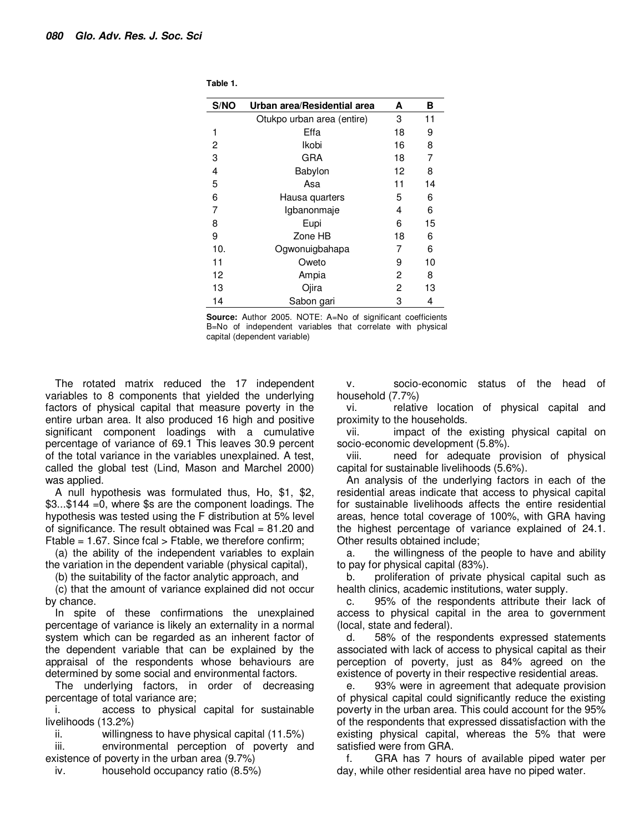| S/NO | Urban area/Residential area | A  | в  |
|------|-----------------------------|----|----|
|      | Otukpo urban area (entire)  | 3  | 11 |
| 1    | Effa                        | 18 | 9  |
| 2    | Ikobi                       | 16 | 8  |
| 3    | GRA                         | 18 | 7  |
| 4    | Babylon                     | 12 | 8  |
| 5    | Asa                         | 11 | 14 |
| 6    | Hausa quarters              | 5  | 6  |
| 7    | Igbanonmaje                 | 4  | 6  |
| 8    | Eupi                        | 6  | 15 |
| 9    | Zone HB                     | 18 | 6  |
| 10.  | Ogwonuigbahapa              | 7  | 6  |
| 11   | Oweto                       | 9  | 10 |
| 12   | Ampia                       | 2  | 8  |
| 13   | Ojira                       | 2  | 13 |
| 14   | Sabon gari                  | 3  | 4  |

**Table 1.** 

**Source:** Author 2005. NOTE: A=No of significant coefficients B=No of independent variables that correlate with physical capital (dependent variable)

The rotated matrix reduced the 17 independent variables to 8 components that yielded the underlying factors of physical capital that measure poverty in the entire urban area. It also produced 16 high and positive significant component loadings with a cumulative percentage of variance of 69.1 This leaves 30.9 percent of the total variance in the variables unexplained. A test, called the global test (Lind, Mason and Marchel 2000) was applied.

A null hypothesis was formulated thus, Ho, \$1, \$2, \$3...\$144 =0, where \$s are the component loadings. The hypothesis was tested using the F distribution at 5% level of significance. The result obtained was Fcal = 81.20 and Ftable = 1.67. Since fcal  $>$  Ftable, we therefore confirm;

(a) the ability of the independent variables to explain the variation in the dependent variable (physical capital),

(b) the suitability of the factor analytic approach, and

(c) that the amount of variance explained did not occur by chance.

In spite of these confirmations the unexplained percentage of variance is likely an externality in a normal system which can be regarded as an inherent factor of the dependent variable that can be explained by the appraisal of the respondents whose behaviours are determined by some social and environmental factors.

The underlying factors, in order of decreasing percentage of total variance are;

i. access to physical capital for sustainable livelihoods (13.2%)

ii. willingness to have physical capital (11.5%)

iii. environmental perception of poverty and existence of poverty in the urban area (9.7%)

iv. household occupancy ratio (8.5%)

v. socio-economic status of the head of household (7.7%)

vi. relative location of physical capital and proximity to the households.

vii. impact of the existing physical capital on socio-economic development (5.8%).

viii. need for adequate provision of physical capital for sustainable livelihoods (5.6%).

An analysis of the underlying factors in each of the residential areas indicate that access to physical capital for sustainable livelihoods affects the entire residential areas, hence total coverage of 100%, with GRA having the highest percentage of variance explained of 24.1. Other results obtained include;

a. the willingness of the people to have and ability to pay for physical capital (83%).

b. proliferation of private physical capital such as health clinics, academic institutions, water supply.

c. 95% of the respondents attribute their lack of access to physical capital in the area to government (local, state and federal).

d. 58% of the respondents expressed statements associated with lack of access to physical capital as their perception of poverty, just as 84% agreed on the existence of poverty in their respective residential areas.

e. 93% were in agreement that adequate provision of physical capital could significantly reduce the existing poverty in the urban area. This could account for the 95% of the respondents that expressed dissatisfaction with the existing physical capital, whereas the 5% that were satisfied were from GRA.

f. GRA has 7 hours of available piped water per day, while other residential area have no piped water.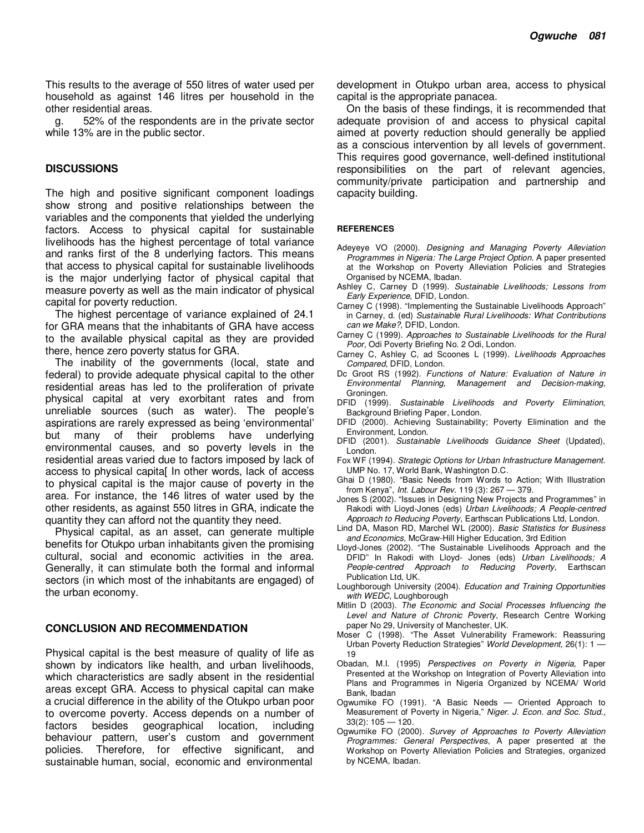This results to the average of 550 litres of water used per household as against 146 litres per household in the other residential areas.

g. 52% of the respondents are in the private sector while 13% are in the public sector.

#### **DISCUSSIONS**

The high and positive significant component loadings show strong and positive relationships between the variables and the components that yielded the underlying factors. Access to physical capital for sustainable livelihoods has the highest percentage of total variance and ranks first of the 8 underlying factors. This means that access to physical capital for sustainable livelihoods is the major underlying factor of physical capital that measure poverty as well as the main indicator of physical capital for poverty reduction.

The highest percentage of variance explained of 24.1 for GRA means that the inhabitants of GRA have access to the available physical capital as they are provided there, hence zero poverty status for GRA.

The inability of the governments (local, state and federal) to provide adequate physical capital to the other residential areas has led to the proliferation of private physical capital at very exorbitant rates and from unreliable sources (such as water). The people's aspirations are rarely expressed as being 'environmental' but many of their problems have underlying environmental causes, and so poverty levels in the residential areas varied due to factors imposed by lack of access to physical capita[ In other words, lack of access to physical capital is the major cause of poverty in the area. For instance, the 146 litres of water used by the other residents, as against 550 litres in GRA, indicate the quantity they can afford not the quantity they need.

Physical capital, as an asset, can generate multiple benefits for Otukpo urban inhabitants given the promising cultural, social and economic activities in the area. Generally, it can stimulate both the formal and informal sectors (in which most of the inhabitants are engaged) of the urban economy.

#### **CONCLUSION AND RECOMMENDATION**

Physical capital is the best measure of quality of life as shown by indicators like health, and urban livelihoods, which characteristics are sadly absent in the residential areas except GRA. Access to physical capital can make a crucial difference in the ability of the Otukpo urban poor to overcome poverty. Access depends on a number of factors besides geographical location, including behaviour pattern, user's custom and government policies. Therefore, for effective significant, and sustainable human, social, economic and environmental

development in Otukpo urban area, access to physical capital is the appropriate panacea.

On the basis of these findings, it is recommended that adequate provision of and access to physical capital aimed at poverty reduction should generally be applied as a conscious intervention by all levels of government. This requires good governance, well-defined institutional responsibilities on the part of relevant agencies, community/private participation and partnership and capacity building.

#### **REFERENCES**

- Adeyeye VO (2000). *Designing and Managing Poverty Alleviation Programmes in Nigeria: The Large Project Option.* A paper presented at the Workshop on Poverty Alleviation Policies and Strategies Organised by NCEMA, Ibadan.
- Ashley C, Carney D (1999). *Sustainable Livelihoods; Lessons from Early Experience*, DFID, London.
- Carney C (1998). "Implementing the Sustainable Livelihoods Approach" in Carney, d. (ed) *Sustainable Rural Livelihoods: What Contributions can we Make?*, DFID, London.
- Carney C (1999). *Approaches to Sustainable Livelihoods for the Rural Poor,* Odi Poverty Briefing No. 2 Odi, London.
- Carney C, Ashley C, ad Scoones L (1999). *Livelihoods Approaches Compared*, DFID, London.
- Dc Groot RS (1992). *Functions of Nature: Evaluation of Nature in Environmental Planning, Management and Decision-making*, Groningen.
- DFID (1999). *Sustainable Livelihoods and Poverty Elimination*, Background Briefing Paper, London.
- DFID (2000). Achieving Sustainability; Poverty Elimination and the Environment, London.
- DFID (2001). *Sustainable Livelihoods Guidance Sheet* (Updated), London.
- Fox WF (1994). *Strategic Options for Urban Infrastructure Management.* UMP No. 17, World Bank, Washington D.C.
- Ghai D (1980). "Basic Needs from Words to Action; With Illustration from Kenya", *Int. Labour Rev.* 119 (3): 267 — 379.
- Jones S (2002). "Issues in Designing New Projects and Programmes" in Rakodi with Lioyd-Jones (eds) *Urban Livelihoods; A People-centred Approach to Reducing Poverty,* Earthscan Publications Ltd, London.
- Lind DA, Mason RD, Marchel WL (2000). *Basic Statistics for Business and Economics*, McGraw-Hill Higher Education, 3rd Edition
- Lloyd-Jones (2002). "The Sustainable Livelihoods Approach and the DFID" In Rakodi with Lloyd- Jones (eds) *Urban Livelihoods; A People-centred Approach to Reducing Poverty,* Earthscan Publication Ltd, UK.
- Loughborough University (2004). *Education and Training Opportunities with WEDC*, Loughborough
- Mitlin D (2003). *The Economic and Social Processes Influencing the Level and Nature of Chronic Poverty*, Research Centre Working paper No 29, University of Manchester, UK.
- Moser C (1998). "The Asset Vulnerability Framework: Reassuring Urban Poverty Reduction Strategies" *World Development*, 26(1): 1 — 19
- Obadan, M.I. (1995) *Perspectives on Poverty in Nigeria,* Paper Presented at the Workshop on Integration of Poverty Alleviation into Plans and Programmes in Nigeria Organized by NCEMA/ World Bank, Ibadan
- Ogwumike FO (1991). "A Basic Needs Oriented Approach to Measurement of Poverty in Nigeria," *Niger. J. Econ. and Soc. Stud.,*  33(2): 105 — 120.
- Ogwumike FO (2000). *Survey of Approaches to Poverty Alleviation Programmes: General Perspectives*, A paper presented at the Workshop on Poverty Alleviation Policies and Strategies, organized by NCEMA, Ibadan.